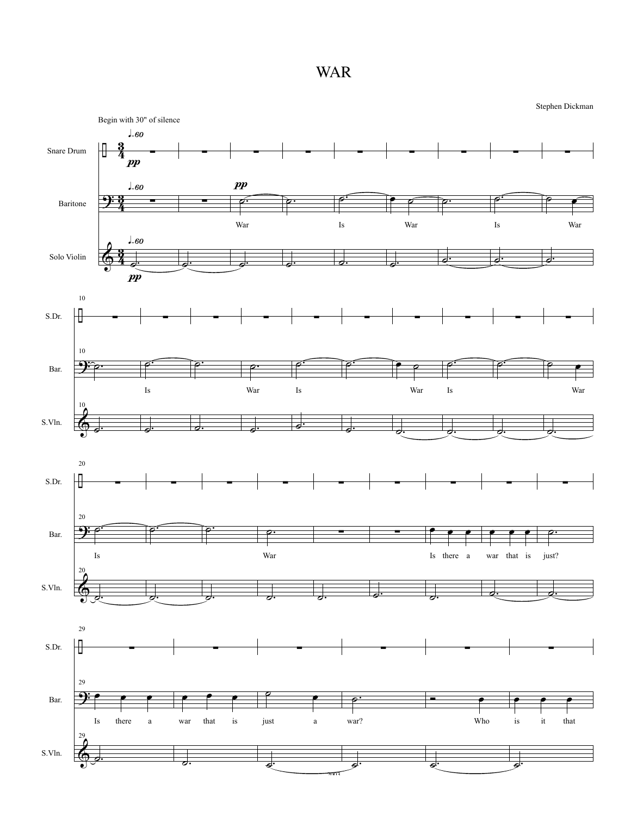WAR

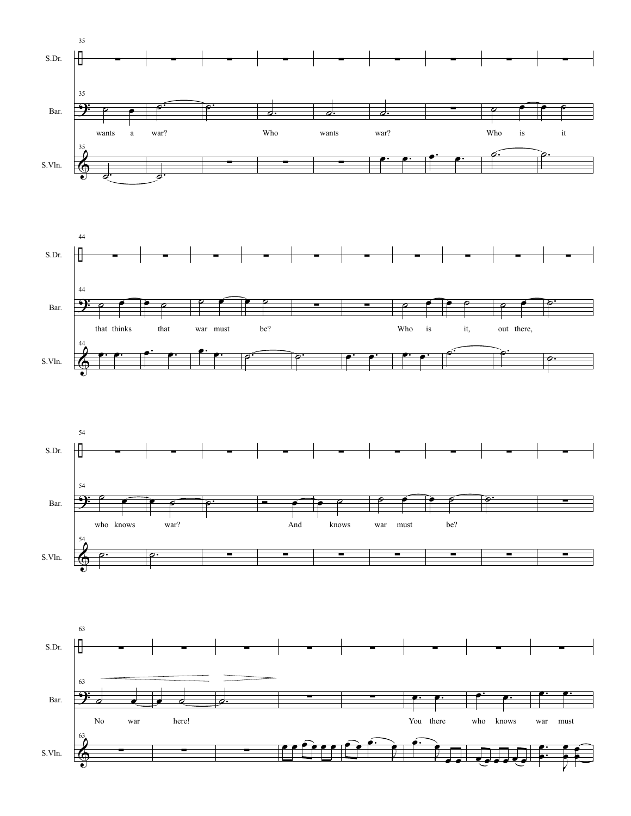





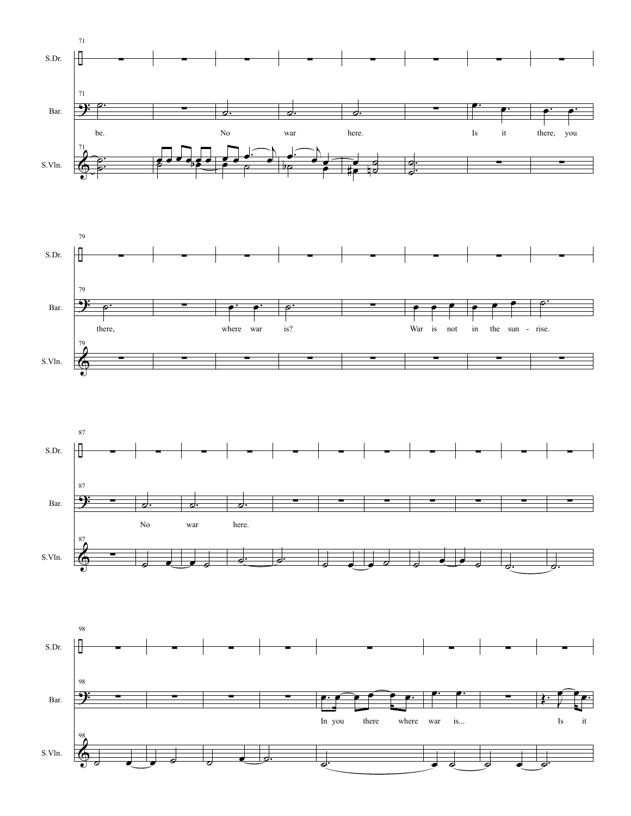





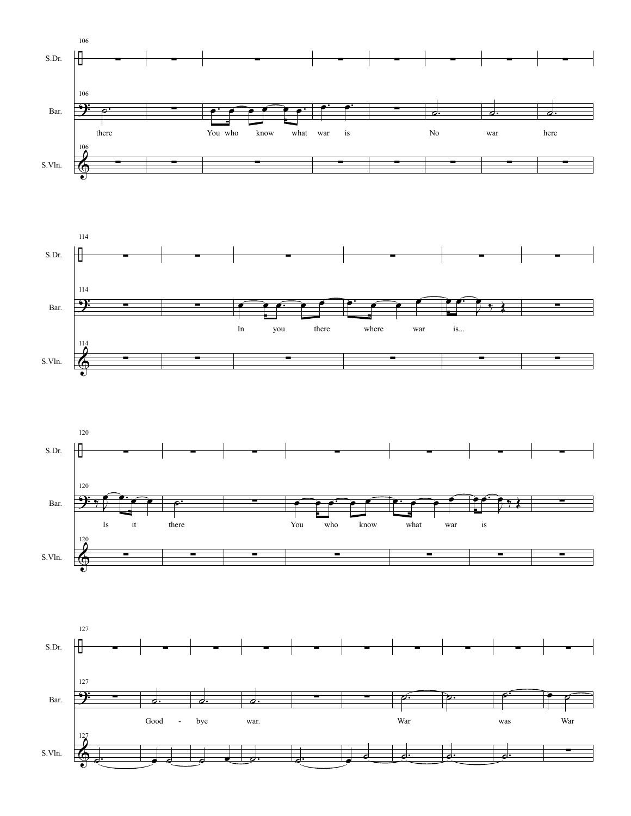